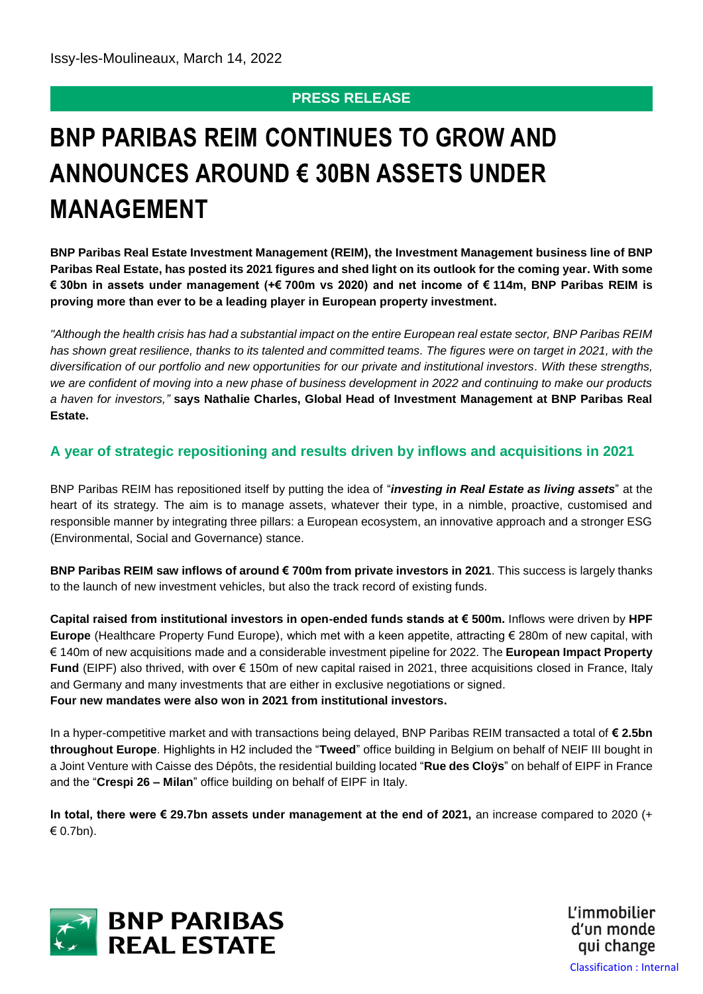## **PRESS RELEASE**

# **BNP PARIBAS REIM CONTINUES TO GROW AND ANNOUNCES AROUND € 30BN ASSETS UNDER MANAGEMENT**

**BNP Paribas Real Estate Investment Management (REIM), the Investment Management business line of BNP Paribas Real Estate, has posted its 2021 figures and shed light on its outlook for the coming year. With some € 30bn in assets under management (+€ 700m vs 2020) and net income of € 114m, BNP Paribas REIM is proving more than ever to be a leading player in European property investment.** 

*"Although the health crisis has had a substantial impact on the entire European real estate sector, BNP Paribas REIM has shown great resilience, thanks to its talented and committed teams. The figures were on target in 2021, with the diversification of our portfolio and new opportunities for our private and institutional investors. With these strengths, we are confident of moving into a new phase of business development in 2022 and continuing to make our products a haven for investors,"* **says Nathalie Charles, Global Head of Investment Management at BNP Paribas Real Estate.**

### **A year of strategic repositioning and results driven by inflows and acquisitions in 2021**

BNP Paribas REIM has repositioned itself by putting the idea of "*investing in Real Estate as living assets*" at the heart of its strategy. The aim is to manage assets, whatever their type, in a nimble, proactive, customised and responsible manner by integrating three pillars: a European ecosystem, an innovative approach and a stronger ESG (Environmental, Social and Governance) stance.

**BNP Paribas REIM saw inflows of around € 700m from private investors in 2021**. This success is largely thanks to the launch of new investment vehicles, but also the track record of existing funds.

**Capital raised from institutional investors in open-ended funds stands at € 500m.** Inflows were driven by **HPF Europe** (Healthcare Property Fund Europe), which met with a keen appetite, attracting € 280m of new capital, with € 140m of new acquisitions made and a considerable investment pipeline for 2022. The **European Impact Property Fund** (EIPF) also thrived, with over € 150m of new capital raised in 2021, three acquisitions closed in France, Italy and Germany and many investments that are either in exclusive negotiations or signed. **Four new mandates were also won in 2021 from institutional investors.**

In a hyper-competitive market and with transactions being delayed, BNP Paribas REIM transacted a total of **€ 2.5bn throughout Europe**. Highlights in H2 included the "**Tweed**" office building in Belgium on behalf of NEIF III bought in a Joint Venture with Caisse des Dépôts, the residential building located "**Rue des Cloÿs**" on behalf of EIPF in France and the "**Crespi 26 – Milan**" office building on behalf of EIPF in Italy.

**In total, there were € 29.7bn assets under management at the end of 2021,** an increase compared to 2020 (+ € 0.7bn).



L'immobilier d'un monde qui change Classification : Internal